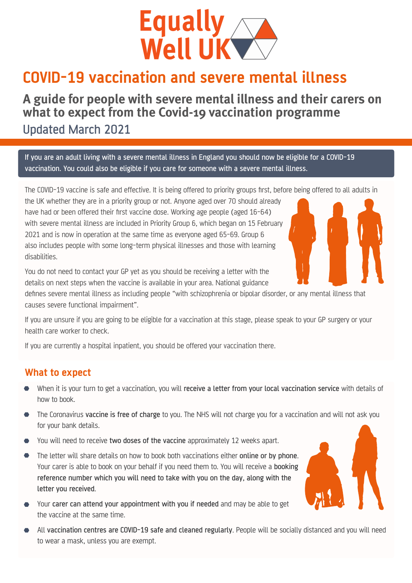

## **COVID-19 vaccination and severe mental illness**

# **A guide for people with severe mental illness and their carers on what to expect from the Covid-19 vaccination programme**

Updated March 2021

If you are an adult living with a severe mental illness in England you should now be eligible for a COVID-19 vaccination. You could also be eligible if you care for someone with a severe mental illness.

The COVID-19 vaccine is safe and effective. It is being offered to priority groups first, before being offered to all adults in

the UK whether they are in a priority group or not. Anyone aged over 70 should already have had or been offered their first vaccine dose. Working age people (aged 16-64) with severe mental illness are included in Priority Group 6, which began on 15 February 2021 and is now in operation at the same time as everyone aged 65-69. Group 6 also includes people with some long-term physical illnesses and those with learning disabilities.



You do not need to contact your GP yet as you should be receiving a letter with the details on next steps when the vaccine is available in your area. National guidance

defines severe mental illness as including people "with schizophrenia or bipolar disorder, or any mental illness that causes severe functional impairment".

If you are unsure if you are going to be eligible for a vaccination at this stage, please speak to your GP surgery or your health care worker to check.

If you are currently a hospital inpatient, you should be offered your vaccination there.

### **What to expect**

- When it is your turn to get a vaccination, you will receive a letter from your local vaccination service with details of how to book.
- The Coronavirus vaccine is free of charge to you. The NHS will not charge you for a vaccination and will not ask you for your bank details.
- You will need to receive two doses of the vaccine approximately 12 weeks apart.
- The letter will share details on how to book both vaccinations either online or by phone. Your carer is able to book on your behalf if you need them to. You will receive a booking reference number which you will need to take with you on the day, along with the letter you received.
- Your carer can attend your appointment with you if needed and may be able to get the vaccine at the same time.
- All vaccination centres are COVID-19 safe and cleaned regularly. People will be socially distanced and you will need to wear a mask, unless you are exempt.